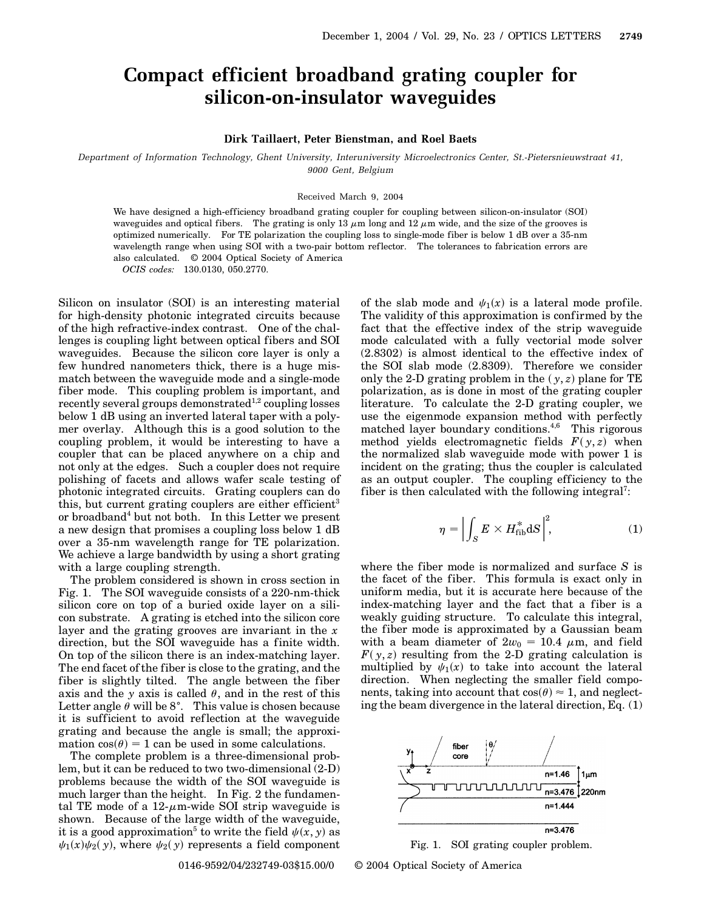## **Compact efficient broadband grating coupler for silicon-on-insulator waveguides**

## **Dirk Taillaert, Peter Bienstman, and Roel Baets**

*Department of Information Technology, Ghent University, Interuniversity Microelectronics Center, St.-Pietersnieuwstraat 41, 9000 Gent, Belgium*

## Received March 9, 2004

We have designed a high-efficiency broadband grating coupler for coupling between silicon-on-insulator (SOI) waveguides and optical fibers. The grating is only 13  $\mu$ m long and 12  $\mu$ m wide, and the size of the grooves is optimized numerically. For TE polarization the coupling loss to single-mode fiber is below 1 dB over a 35-nm wavelength range when using SOI with a two-pair bottom reflector. The tolerances to fabrication errors are also calculated. © 2004 Optical Society of America *OCIS codes:* 130.0130, 050.2770.

Silicon on insulator (SOI) is an interesting material for high-density photonic integrated circuits because of the high refractive-index contrast. One of the challenges is coupling light between optical fibers and SOI waveguides. Because the silicon core layer is only a few hundred nanometers thick, there is a huge mismatch between the waveguide mode and a single-mode fiber mode. This coupling problem is important, and recently several groups demonstrated<sup>1,2</sup> coupling losses below 1 dB using an inverted lateral taper with a polymer overlay. Although this is a good solution to the coupling problem, it would be interesting to have a coupler that can be placed anywhere on a chip and not only at the edges. Such a coupler does not require polishing of facets and allows wafer scale testing of photonic integrated circuits. Grating couplers can do this, but current grating couplers are either efficient<sup>3</sup> or broadband<sup>4</sup> but not both. In this Letter we present a new design that promises a coupling loss below 1 dB over a 35-nm wavelength range for TE polarization. We achieve a large bandwidth by using a short grating with a large coupling strength.

The problem considered is shown in cross section in Fig. 1. The SOI waveguide consists of a 220-nm-thick silicon core on top of a buried oxide layer on a silicon substrate. A grating is etched into the silicon core layer and the grating grooves are invariant in the *x* direction, but the SOI waveguide has a finite width. On top of the silicon there is an index-matching layer. The end facet of the fiber is close to the grating, and the fiber is slightly tilted. The angle between the fiber axis and the *y* axis is called  $\theta$ , and in the rest of this Letter angle  $\theta$  will be 8°. This value is chosen because it is sufficient to avoid ref lection at the waveguide grating and because the angle is small; the approximation  $cos(\theta) = 1$  can be used in some calculations.

The complete problem is a three-dimensional problem, but it can be reduced to two two-dimensional (2-D) problems because the width of the SOI waveguide is much larger than the height. In Fig. 2 the fundamental TE mode of a  $12-\mu m$ -wide SOI strip waveguide is shown. Because of the large width of the waveguide, it is a good approximation<sup>5</sup> to write the field  $\psi(x, y)$  as  $\psi_1(x)\psi_2(y)$ , where  $\psi_2(y)$  represents a field component

of the slab mode and  $\psi_1(x)$  is a lateral mode profile. The validity of this approximation is confirmed by the fact that the effective index of the strip waveguide mode calculated with a fully vectorial mode solver (2.8302) is almost identical to the effective index of the SOI slab mode (2.8309). Therefore we consider only the 2-D grating problem in the  $(y, z)$  plane for TE polarization, as is done in most of the grating coupler literature. To calculate the 2-D grating coupler, we use the eigenmode expansion method with perfectly matched layer boundary conditions.<sup>4,6</sup> This rigorous method yields electromagnetic fields  $F(y, z)$  when the normalized slab waveguide mode with power 1 is incident on the grating; thus the coupler is calculated as an output coupler. The coupling efficiency to the fiber is then calculated with the following integral<sup>7</sup>:

$$
\eta = \left| \int_{S} E \times H_{\text{fib}}^{*} \text{d}S \right|^{2}, \tag{1}
$$

where the fiber mode is normalized and surface *S* is the facet of the fiber. This formula is exact only in uniform media, but it is accurate here because of the index-matching layer and the fact that a fiber is a weakly guiding structure. To calculate this integral, the fiber mode is approximated by a Gaussian beam with a beam diameter of  $2w_0 = 10.4 \mu$ m, and field  $F(y, z)$  resulting from the 2-D grating calculation is multiplied by  $\psi_1(x)$  to take into account the lateral direction. When neglecting the smaller field components, taking into account that  $cos(\theta) \approx 1$ , and neglecting the beam divergence in the lateral direction, Eq. (1)



Fig. 1. SOI grating coupler problem.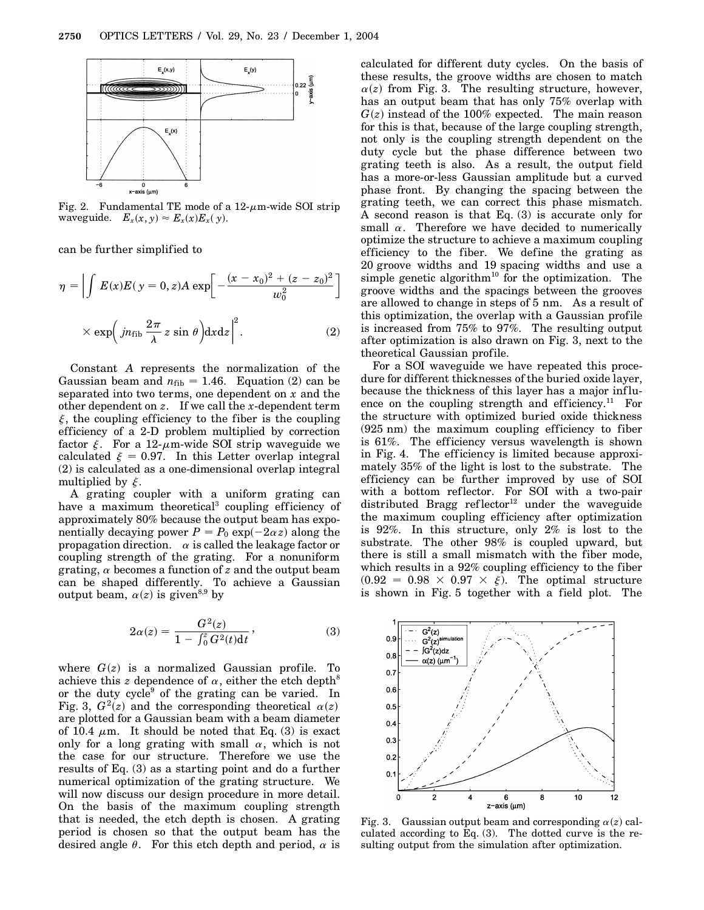

Fig. 2. Fundamental TE mode of a  $12\text{-}\mu\text{m}$ -wide SOI strip waveguide.  $E_x(x, y) \approx E_x(x) E_x(y)$ .

can be further simplified to

$$
\eta = \left| \int E(x)E(y=0, z)A \exp \left[ -\frac{(x-x_0)^2 + (z-z_0)^2}{w_0^2} \right] \right|
$$
  
 
$$
\times \exp \left( jn_{\text{fib}} \frac{2\pi}{\lambda} z \sin \theta \right) dx dz \Big|^{2}.
$$
 (2)

Constant *A* represents the normalization of the Gaussian beam and  $n_{fib} = 1.46$ . Equation (2) can be separated into two terms, one dependent on *x* and the other dependent on *z*. If we call the *x*-dependent term  $\xi$ , the coupling efficiency to the fiber is the coupling efficiency of a 2-D problem multiplied by correction factor  $\xi$ . For a 12- $\mu$ m-wide SOI strip waveguide we calculated  $\xi = 0.97$ . In this Letter overlap integral (2) is calculated as a one-dimensional overlap integral multiplied by  $\xi$ .

A grating coupler with a uniform grating can have a maximum theoretical<sup>3</sup> coupling efficiency of approximately 80% because the output beam has exponentially decaying power  $P = P_0 \exp(-2 \alpha z)$  along the propagation direction.  $\alpha$  is called the leakage factor or coupling strength of the grating. For a nonuniform grating, a becomes a function of *z* and the output beam can be shaped differently. To achieve a Gaussian output beam,  $\alpha(z)$  is given<sup>8,9</sup> by

$$
2\alpha(z) = \frac{G^2(z)}{1 - \int_0^z G^2(t)dt},
$$
\n(3)

where  $G(z)$  is a normalized Gaussian profile. To achieve this  $z$  dependence of  $\alpha$ , either the etch depth<sup>8</sup> or the duty cycle<sup>9</sup> of the grating can be varied. In Fig. 3,  $G^2(z)$  and the corresponding theoretical  $\alpha(z)$ are plotted for a Gaussian beam with a beam diameter of 10.4  $\mu$ m. It should be noted that Eq. (3) is exact only for a long grating with small  $\alpha$ , which is not the case for our structure. Therefore we use the results of Eq. (3) as a starting point and do a further numerical optimization of the grating structure. We will now discuss our design procedure in more detail. On the basis of the maximum coupling strength that is needed, the etch depth is chosen. A grating period is chosen so that the output beam has the desired angle  $\theta$ . For this etch depth and period,  $\alpha$  is

calculated for different duty cycles. On the basis of these results, the groove widths are chosen to match  $\alpha(z)$  from Fig. 3. The resulting structure, however, has an output beam that has only 75% overlap with  $G(z)$  instead of the 100% expected. The main reason for this is that, because of the large coupling strength, not only is the coupling strength dependent on the duty cycle but the phase difference between two grating teeth is also. As a result, the output field has a more-or-less Gaussian amplitude but a curved phase front. By changing the spacing between the grating teeth, we can correct this phase mismatch. A second reason is that Eq. (3) is accurate only for small  $\alpha$ . Therefore we have decided to numerically optimize the structure to achieve a maximum coupling efficiency to the fiber. We define the grating as 20 groove widths and 19 spacing widths and use a simple genetic algorithm<sup>10</sup> for the optimization. The groove widths and the spacings between the grooves are allowed to change in steps of 5 nm. As a result of this optimization, the overlap with a Gaussian profile is increased from 75% to 97%. The resulting output after optimization is also drawn on Fig. 3, next to the theoretical Gaussian profile.

For a SOI waveguide we have repeated this procedure for different thicknesses of the buried oxide layer, because the thickness of this layer has a major influence on the coupling strength and efficiency.<sup>11</sup> For the structure with optimized buried oxide thickness (925 nm) the maximum coupling efficiency to fiber is 61%. The efficiency versus wavelength is shown in Fig. 4. The efficiency is limited because approximately 35% of the light is lost to the substrate. The efficiency can be further improved by use of SOI with a bottom reflector. For SOI with a two-pair distributed Bragg reflector<sup>12</sup> under the waveguide the maximum coupling efficiency after optimization is 92%. In this structure, only 2% is lost to the substrate. The other 98% is coupled upward, but there is still a small mismatch with the fiber mode, which results in a 92% coupling efficiency to the fiber  $(0.92 = 0.98 \times 0.97 \times \xi)$ . The optimal structure is shown in Fig. 5 together with a field plot. The



Fig. 3. Gaussian output beam and corresponding  $\alpha(z)$  calculated according to Eq. (3). The dotted curve is the resulting output from the simulation after optimization.